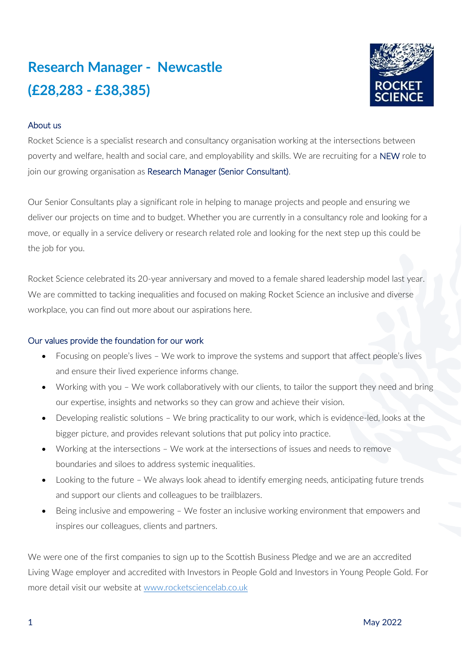# **Research Manager - Newcastle (£28,283 - £38,385)**



## About us

Rocket Science is a specialist research and consultancy organisation working at the intersections between poverty and welfare, health and social care, and employability and skills. We are recruiting for a NEW role to join our growing organisation as Research Manager (Senior Consultant).

Our Senior Consultants play a significant role in helping to manage projects and people and ensuring we deliver our projects on time and to budget. Whether you are currently in a consultancy role and looking for a move, or equally in a service delivery or research related role and looking for the next step up this could be the job for you.

Rocket Science celebrated its 20-year anniversary and moved to a female shared leadership model last year. We are committed to tacking inequalities and focused on making Rocket Science an inclusive and diverse workplace, you can find out more about our aspirations here.

## Our values provide the foundation for our work

- Focusing on people's lives We work to improve the systems and support that affect people's lives and ensure their lived experience informs change.
- Working with you We work collaboratively with our clients, to tailor the support they need and bring our expertise, insights and networks so they can grow and achieve their vision.
- Developing realistic solutions We bring practicality to our work, which is evidence-led, looks at the bigger picture, and provides relevant solutions that put policy into practice.
- Working at the intersections We work at the intersections of issues and needs to remove boundaries and siloes to address systemic inequalities.
- Looking to the future We always look ahead to identify emerging needs, anticipating future trends and support our clients and colleagues to be trailblazers.
- Being inclusive and empowering We foster an inclusive working environment that empowers and inspires our colleagues, clients and partners.

We were one of the first companies to sign up to the Scottish Business Pledge and we are an accredited Living Wage employer and accredited with Investors in People Gold and Investors in Young People Gold. For more detail visit our website at [www.rocketsciencelab.co.uk](http://www.rocketsciencelab.co.uk/)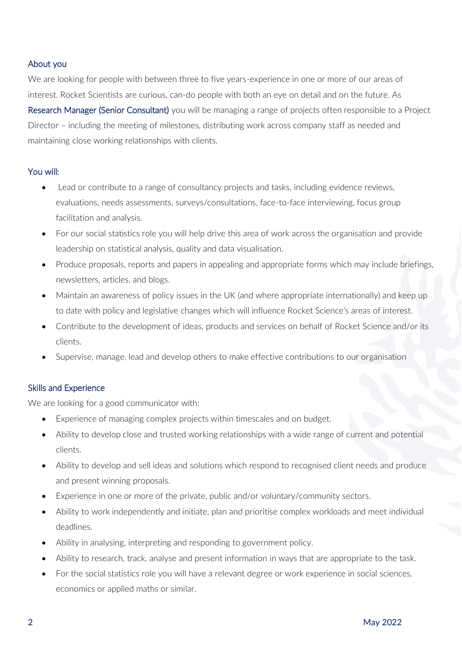## About you

We are looking for people with between three to five years-experience in one or more of our areas of interest. Rocket Scientists are curious, can-do people with both an eye on detail and on the future. As Research Manager (Senior Consultant) you will be managing a range of projects often responsible to a Project Director – including the meeting of milestones, distributing work across company staff as needed and maintaining close working relationships with clients.

## You will:

- Lead or contribute to a range of consultancy projects and tasks, including evidence reviews, evaluations, needs assessments, surveys/consultations, face-to-face interviewing, focus group facilitation and analysis.
- For our social statistics role you will help drive this area of work across the organisation and provide leadership on statistical analysis, quality and data visualisation.
- Produce proposals, reports and papers in appealing and appropriate forms which may include briefings, newsletters, articles, and blogs.
- Maintain an awareness of policy issues in the UK (and where appropriate internationally) and keep up to date with policy and legislative changes which will influence Rocket Science's areas of interest.
- Contribute to the development of ideas, products and services on behalf of Rocket Science and/or its clients.
- Supervise, manage, lead and develop others to make effective contributions to our organisation

## Skills and Experience

We are looking for a good communicator with:

- Experience of managing complex projects within timescales and on budget.
- Ability to develop close and trusted working relationships with a wide range of current and potential clients.
- Ability to develop and sell ideas and solutions which respond to recognised client needs and produce and present winning proposals.
- Experience in one or more of the private, public and/or voluntary/community sectors.
- Ability to work independently and initiate, plan and prioritise complex workloads and meet individual deadlines.
- Ability in analysing, interpreting and responding to government policy.
- Ability to research, track, analyse and present information in ways that are appropriate to the task.
- For the social statistics role you will have a relevant degree or work experience in social sciences, economics or applied maths or similar.